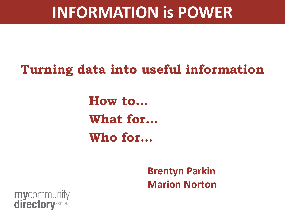#### **Turning data into useful information**

**How to… What for… Who for…**

> **Brentyn Parkin Marion Norton**

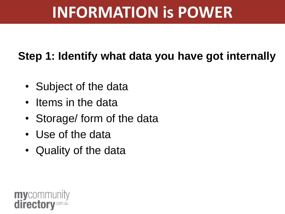#### **Step 1: Identify what data you have got internally**

- Subject of the data
- Items in the data
- Storage/ form of the data
- Use of the data
- Quality of the data

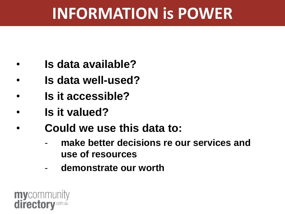- **Is data available?**
- **Is data well-used?**
- **Is it accessible?**
- **Is it valued?**
- **Could we use this data to:**
	- **make better decisions re our services and use of resources**
	- **demonstrate our worth**

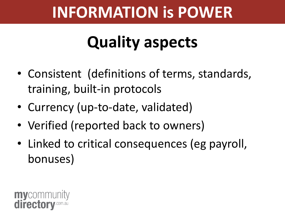# **Quality aspects**

- Consistent (definitions of terms, standards, training, built-in protocols
- Currency (up-to-date, validated)
- Verified (reported back to owners)
- Linked to critical consequences (eg payroll, bonuses)

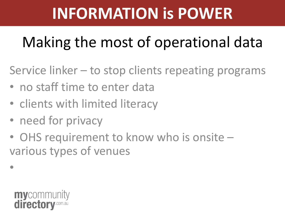## Making the most of operational data

Service linker – to stop clients repeating programs

- no staff time to enter data
- clients with limited literacy
- need for privacy
- OHS requirement to know who is onsite various types of venues



•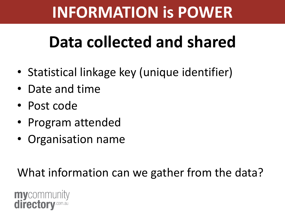# **Data collected and shared**

- Statistical linkage key (unique identifier)
- Date and time
- Post code
- Program attended
- Organisation name

What information can we gather from the data?

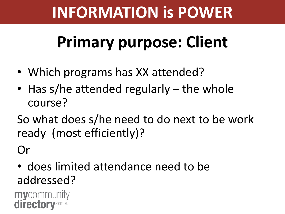# **Primary purpose: Client**

- Which programs has XX attended?
- Has s/he attended regularly the whole course?

So what does s/he need to do next to be work ready (most efficiently)?

Or

• does limited attendance need to be addressed?

**my**community directory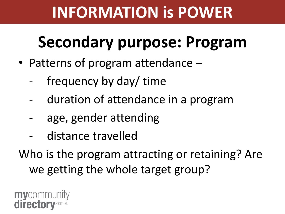## **Secondary purpose: Program**

- Patterns of program attendance
	- frequency by day/ time
	- duration of attendance in a program
	- age, gender attending
	- distance travelled

Who is the program attracting or retaining? Are we getting the whole target group?

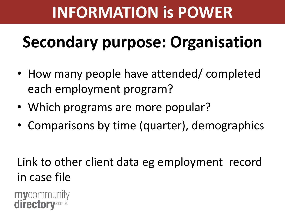# **Secondary purpose: Organisation**

- How many people have attended/ completed each employment program?
- Which programs are more popular?
- Comparisons by time (quarter), demographics

#### Link to other client data eg employment record in case file

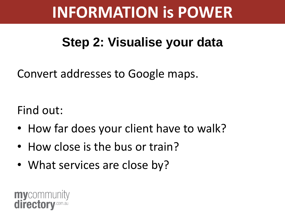#### **Step 2: Visualise your data**

Convert addresses to Google maps.

Find out:

- How far does your client have to walk?
- How close is the bus or train?
- What services are close by?

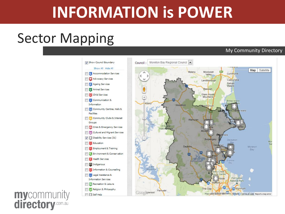#### Sector Mapping

#### My Community Directory



# **mycommunity**<br>**directory**.com.au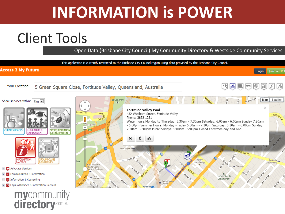#### Client Tools

Open Data (Brisbane City Council) My Community Directory & Westside Community Services

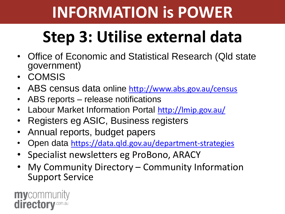# **Step 3: Utilise external data**

- Office of Economic and Statistical Research (Qld state government)
- COMSIS
- ABS census data online <http://www.abs.gov.au/census>
- ABS reports release notifications
- Labour Market Information Portal http://Imip.gov.au/
- Registers eg ASIC, Business registers
- Annual reports, budget papers
- Open data <https://data.qld.gov.au/department-strategies>
- Specialist newsletters eg ProBono, ARACY
- My Community Directory Community Information Support Service

**my**community directory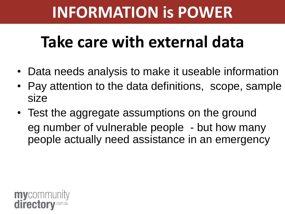## **Take care with external data**

- Data needs analysis to make it useable information
- Pay attention to the data definitions, scope, sample size
- Test the aggregate assumptions on the ground eg number of vulnerable people - but how many people actually need assistance in an emergency

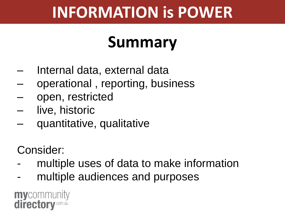## **Summary**

- Internal data, external data
- operational , reporting, business
- open, restricted
- live, historic
- quantitative, qualitative

Consider:

- multiple uses of data to make information
- multiple audiences and purposes

**my**community directory